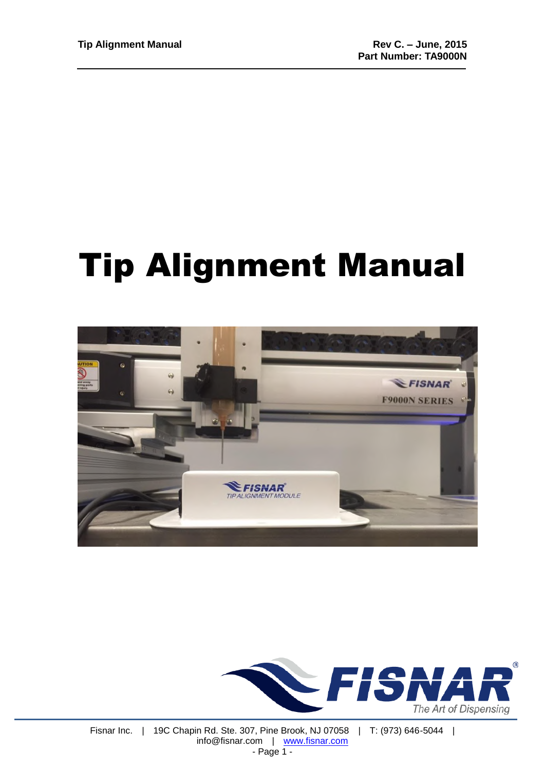# Tip Alignment Manual



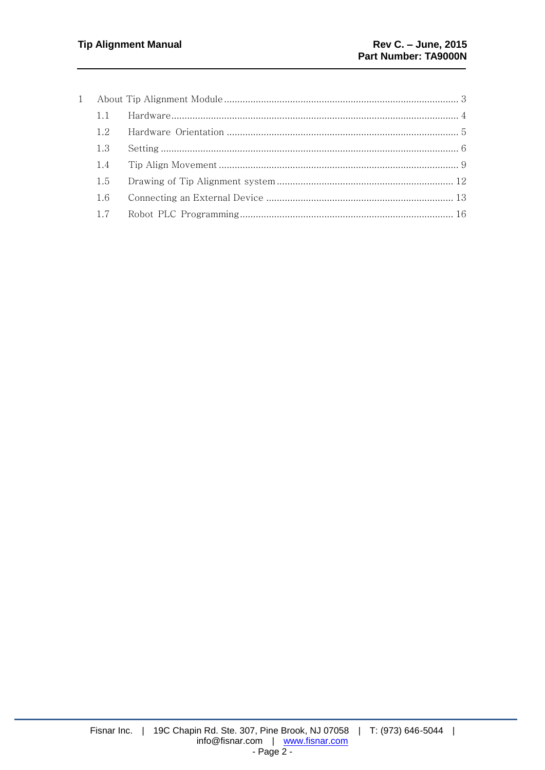| 12  |  |
|-----|--|
| 1.3 |  |
| 1.4 |  |
| 1.5 |  |
| 1.6 |  |
| 1.7 |  |
|     |  |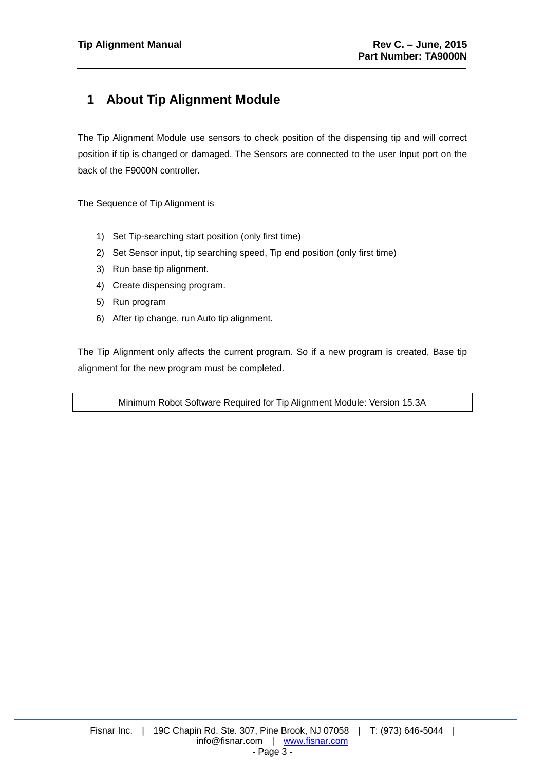# <span id="page-2-0"></span>**1 About Tip Alignment Module**

The Tip Alignment Module use sensors to check position of the dispensing tip and will correct position if tip is changed or damaged. The Sensors are connected to the user Input port on the back of the F9000N controller.

The Sequence of Tip Alignment is

- 1) Set Tip-searching start position (only first time)
- 2) Set Sensor input, tip searching speed, Tip end position (only first time)
- 3) Run base tip alignment.
- 4) Create dispensing program.
- 5) Run program
- 6) After tip change, run Auto tip alignment.

The Tip Alignment only affects the current program. So if a new program is created, Base tip alignment for the new program must be completed.

Minimum Robot Software Required for Tip Alignment Module: Version 15.3A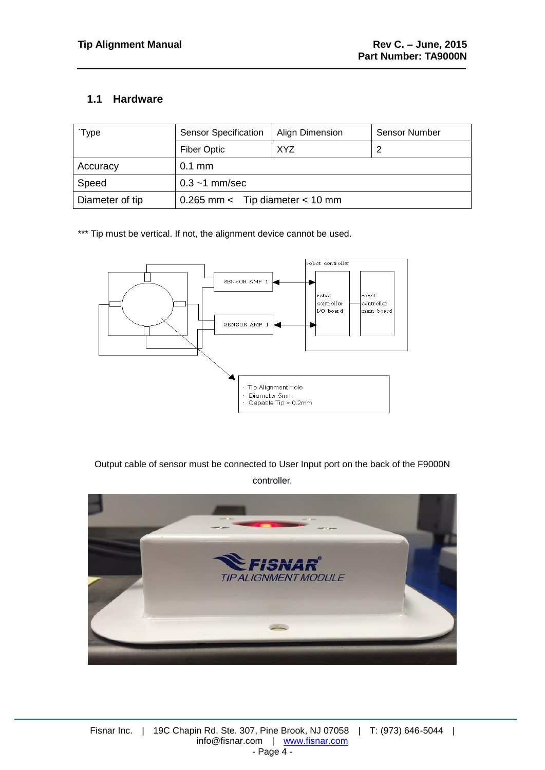#### <span id="page-3-0"></span>**1.1 Hardware**

| Type            | <b>Sensor Specification</b>       | Align Dimension | Sensor Number |
|-----------------|-----------------------------------|-----------------|---------------|
|                 | <b>Fiber Optic</b>                | XYZ             |               |
| Accuracy        | $0.1$ mm                          |                 |               |
| Speed           | $0.3 - 1$ mm/sec                  |                 |               |
| Diameter of tip | $0.265$ mm < Tip diameter < 10 mm |                 |               |

\*\*\* Tip must be vertical. If not, the alignment device cannot be used.



Output cable of sensor must be connected to User Input port on the back of the F9000N controller.

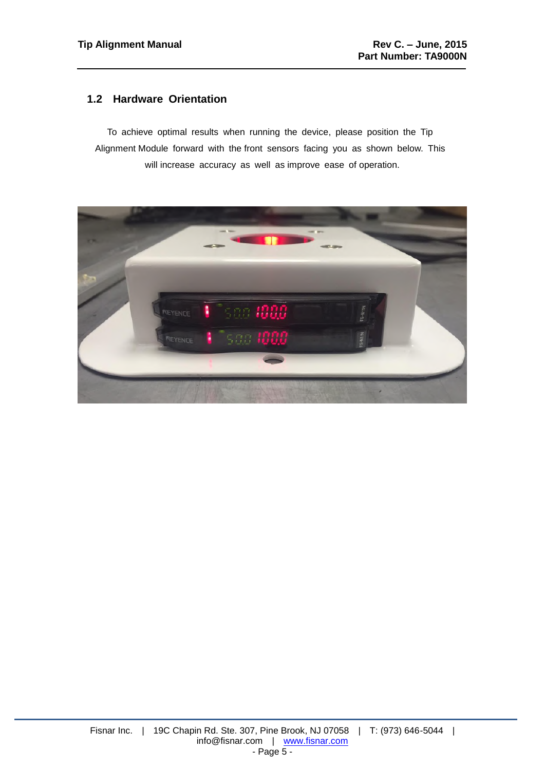#### <span id="page-4-0"></span>**1.2 Hardware Orientation**

To achieve optimal results when running the device, please position the Tip Alignment Module forward with the front sensors facing you as shown below. This will increase accuracy as well as improve ease of operation.

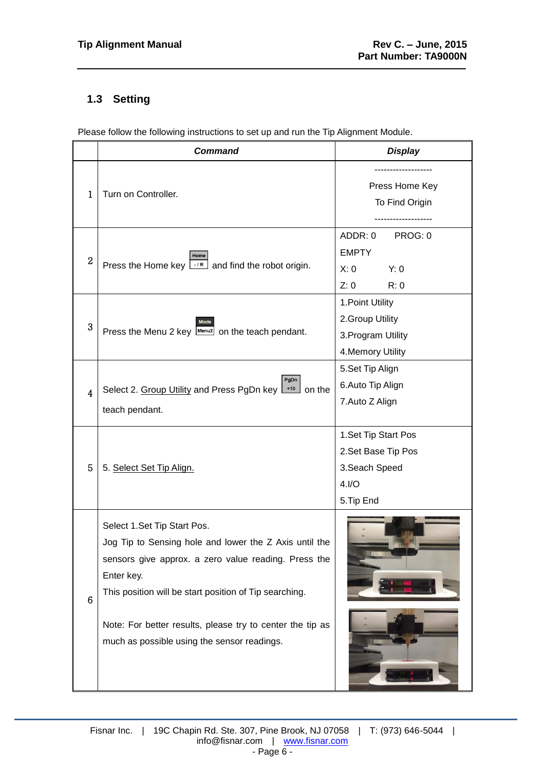## <span id="page-5-0"></span>**1.3 Setting**

Please follow the following instructions to set up and run the Tip Alignment Module.

|                 | <b>Command</b>                                                                                                                                                                                                        | <b>Display</b>                                                                       |  |
|-----------------|-----------------------------------------------------------------------------------------------------------------------------------------------------------------------------------------------------------------------|--------------------------------------------------------------------------------------|--|
| $\mathbf{1}$    | Turn on Controller.                                                                                                                                                                                                   | Press Home Key<br>To Find Origin                                                     |  |
| $\overline{2}$  | Home<br>Press the Home key $\lfloor \frac{1}{R} \rfloor$ and find the robot origin.                                                                                                                                   | ADDR: 0<br>PROG: 0<br><b>EMPTY</b><br>X: 0<br>Y: 0<br>Z: 0<br>R: 0                   |  |
| 3               | <b>Mode</b><br>Press the Menu 2 key Menu2 on the teach pendant.                                                                                                                                                       | 1. Point Utility<br>2. Group Utility<br>3. Program Utility<br>4. Memory Utility      |  |
| 4               | PgDn<br>$+10$ on the<br>Select 2. Group Utility and Press PgDn key<br>teach pendant.                                                                                                                                  | 5.Set Tip Align<br>6. Auto Tip Align<br>7. Auto Z Align                              |  |
| 5               | 5. Select Set Tip Align.                                                                                                                                                                                              | 1. Set Tip Start Pos<br>2. Set Base Tip Pos<br>3. Seach Speed<br>4.1/O<br>5. Tip End |  |
| $6\phantom{1}6$ | Select 1.Set Tip Start Pos.<br>Jog Tip to Sensing hole and lower the Z Axis until the<br>sensors give approx. a zero value reading. Press the<br>Enter key.<br>This position will be start position of Tip searching. |                                                                                      |  |
|                 | Note: For better results, please try to center the tip as<br>much as possible using the sensor readings.                                                                                                              |                                                                                      |  |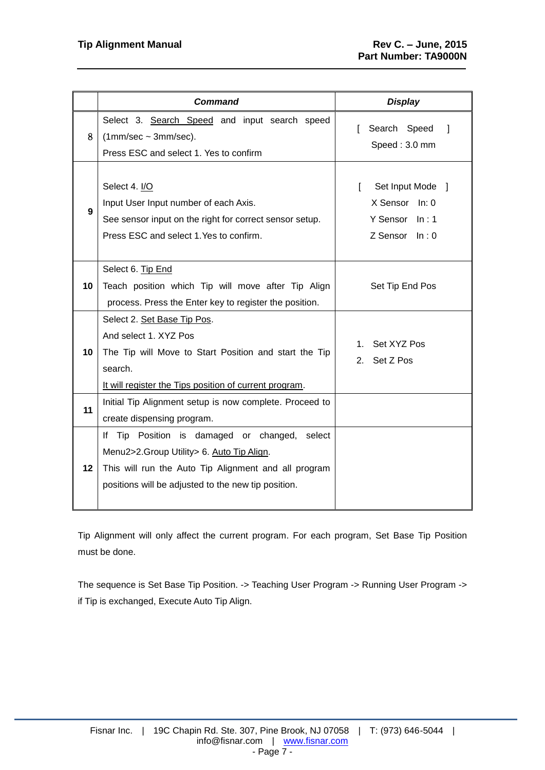|                 | <b>Command</b>                                                                                                                                                                                               | <b>Display</b>                                                                  |
|-----------------|--------------------------------------------------------------------------------------------------------------------------------------------------------------------------------------------------------------|---------------------------------------------------------------------------------|
| 8               | Select 3. Search Speed and input search speed<br>$(1mm/sec - 3mm/sec).$<br>Press ESC and select 1. Yes to confirm                                                                                            | Search Speed<br>1<br>Speed: 3.0 mm                                              |
| 9               | Select 4. I/O<br>Input User Input number of each Axis.<br>See sensor input on the right for correct sensor setup.<br>Press ESC and select 1. Yes to confirm.                                                 | Set Input Mode ]<br>L<br>X Sensor In: 0<br>Y Sensor In: 1<br>$Z$ Sensor $In: 0$ |
| 10              | Select 6. Tip End<br>Teach position which Tip will move after Tip Align<br>process. Press the Enter key to register the position.                                                                            | Set Tip End Pos                                                                 |
| 10 <sub>1</sub> | Select 2. Set Base Tip Pos.<br>And select 1. XYZ Pos<br>The Tip will Move to Start Position and start the Tip<br>search.<br>It will register the Tips position of current program.                           | Set XYZ Pos<br>1.<br>Set Z Pos<br>2.                                            |
| 11              | Initial Tip Alignment setup is now complete. Proceed to<br>create dispensing program.                                                                                                                        |                                                                                 |
| 12 <sup>1</sup> | If Tip Position is damaged or changed,<br>select<br>Menu2>2.Group Utility> 6. Auto Tip Align.<br>This will run the Auto Tip Alignment and all program<br>positions will be adjusted to the new tip position. |                                                                                 |

Tip Alignment will only affect the current program. For each program, Set Base Tip Position must be done.

The sequence is Set Base Tip Position. -> Teaching User Program -> Running User Program -> if Tip is exchanged, Execute Auto Tip Align.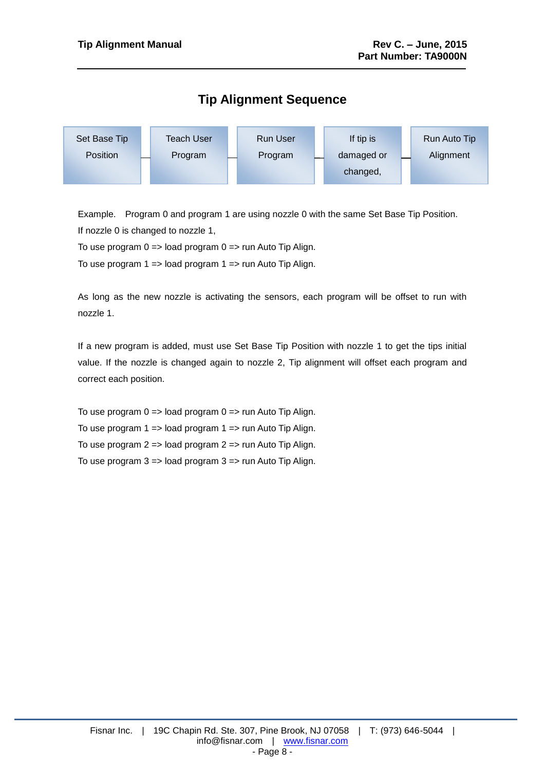# **Tip Alignment Sequence**



Example. Program 0 and program 1 are using nozzle 0 with the same Set Base Tip Position. If nozzle 0 is changed to nozzle 1,

To use program  $0 \Rightarrow$  load program  $0 \Rightarrow$  run Auto Tip Align.

To use program 1 => load program 1 => run Auto Tip Align.

As long as the new nozzle is activating the sensors, each program will be offset to run with nozzle 1.

If a new program is added, must use Set Base Tip Position with nozzle 1 to get the tips initial value. If the nozzle is changed again to nozzle 2, Tip alignment will offset each program and correct each position.

To use program  $0 \Rightarrow$  load program  $0 \Rightarrow$  run Auto Tip Align. To use program  $1 \Rightarrow$  load program  $1 \Rightarrow$  run Auto Tip Align. To use program 2 => load program 2 => run Auto Tip Align. To use program  $3 \Rightarrow$  load program  $3 \Rightarrow$  run Auto Tip Align.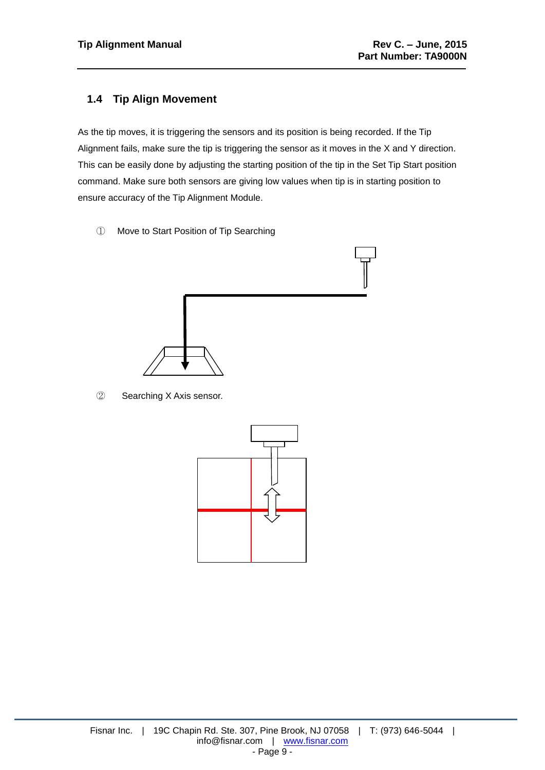#### <span id="page-8-0"></span>**1.4 Tip Align Movement**

As the tip moves, it is triggering the sensors and its position is being recorded. If the Tip Alignment fails, make sure the tip is triggering the sensor as it moves in the X and Y direction. This can be easily done by adjusting the starting position of the tip in the Set Tip Start position command. Make sure both sensors are giving low values when tip is in starting position to ensure accuracy of the Tip Alignment Module.

① Move to Start Position of Tip Searching



② Searching X Axis sensor.

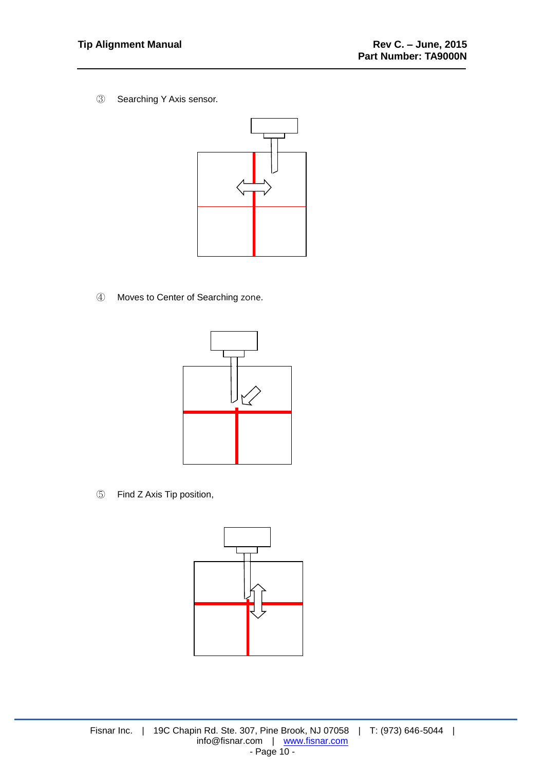③ Searching Y Axis sensor.



④ Moves to Center of Searching zone.



⑤ Find Z Axis Tip position,

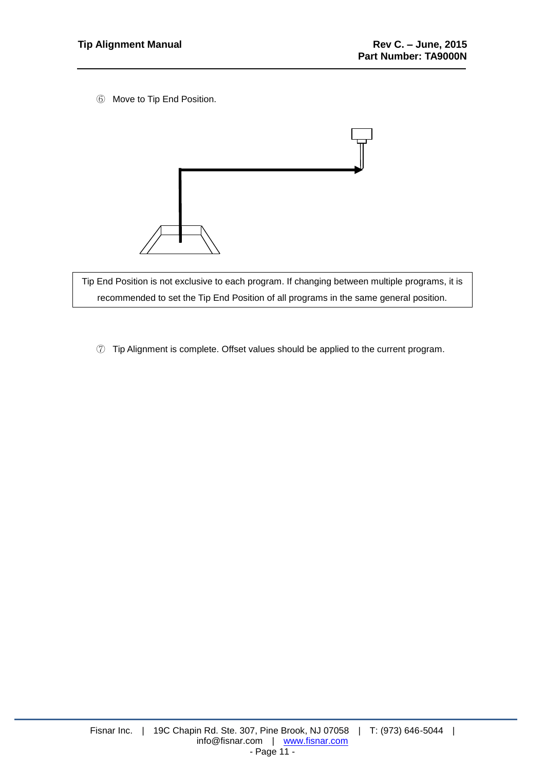⑥ Move to Tip End Position.



Tip End Position is not exclusive to each program. If changing between multiple programs, it is recommended to set the Tip End Position of all programs in the same general position.

⑦ Tip Alignment is complete. Offset values should be applied to the current program.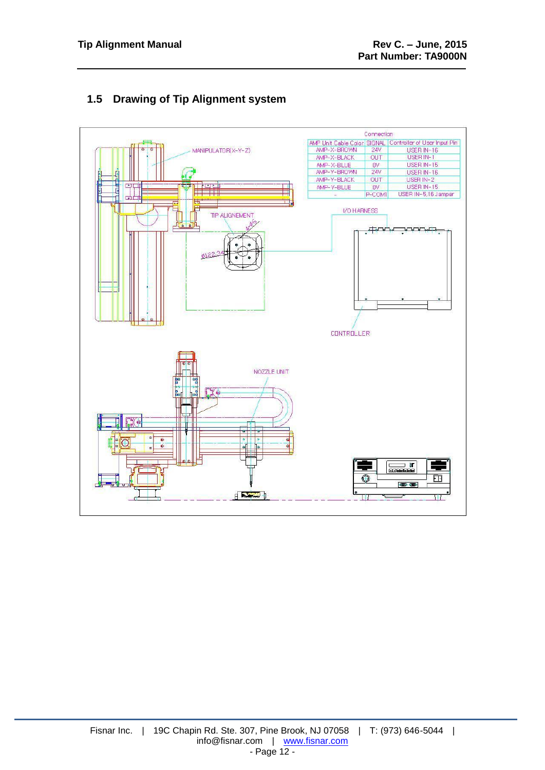<span id="page-11-0"></span>

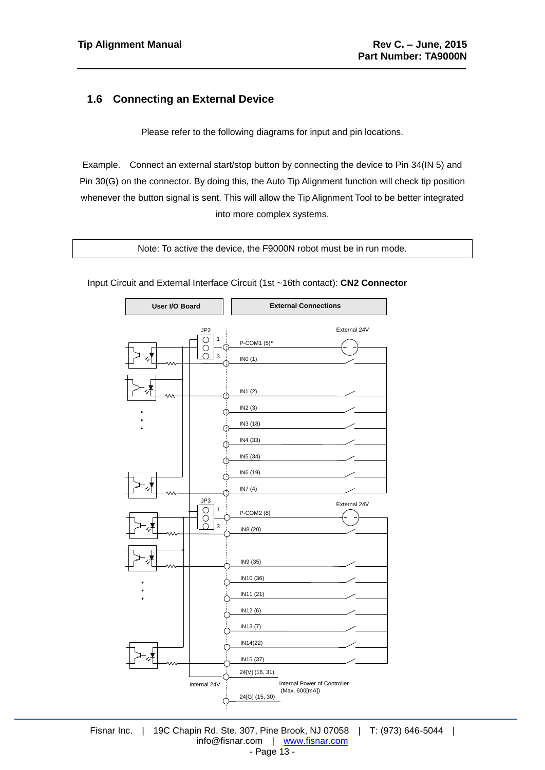#### <span id="page-12-0"></span>**1.6 Connecting an External Device**

Please refer to the following diagrams for input and pin locations.

Example. Connect an external start/stop button by connecting the device to Pin 34(IN 5) and Pin 30(G) on the connector. By doing this, the Auto Tip Alignment function will check tip position whenever the button signal is sent. This will allow the Tip Alignment Tool to be better integrated into more complex systems.

Note: To active the device, the F9000N robot must be in run mode.



Input Circuit and External Interface Circuit (1st ~16th contact): **CN2 Connector**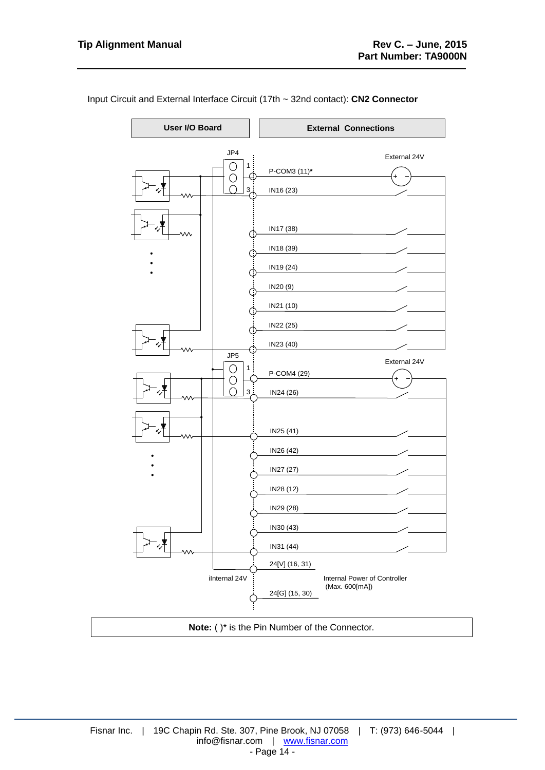

Input Circuit and External Interface Circuit (17th ~ 32nd contact): **CN2 Connector**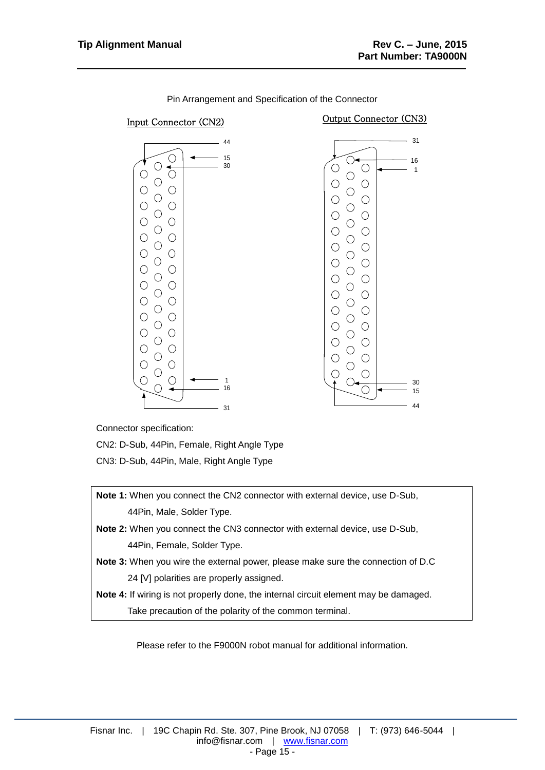

Pin Arrangement and Specification of the Connector

Connector specification:

CN2: D-Sub, 44Pin, Female, Right Angle Type

CN3: D-Sub, 44Pin, Male, Right Angle Type

**Note 1:** When you connect the CN2 connector with external device, use D-Sub, 44Pin, Male, Solder Type. **Note 2:** When you connect the CN3 connector with external device, use D-Sub, 44Pin, Female, Solder Type. **Note 3:** When you wire the external power, please make sure the connection of D.C 24 [V] polarities are properly assigned. **Note 4:** If wiring is not properly done, the internal circuit element may be damaged. Take precaution of the polarity of the common terminal.

Please refer to the F9000N robot manual for additional information.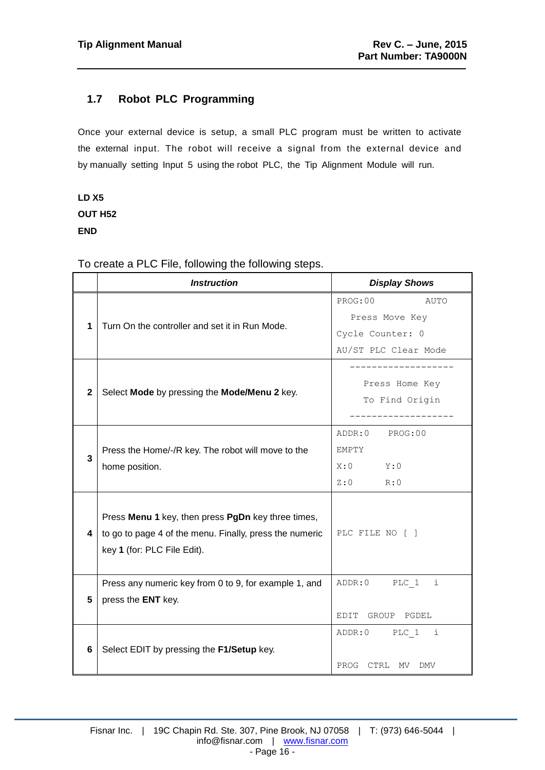## <span id="page-15-0"></span>**1.7 Robot PLC Programming**

Once your external device is setup, a small PLC program must be written to activate the external input. The robot will receive a signal from the external device and by manually setting Input 5 using the robot PLC, the Tip Alignment Module will run.

# **LD X5 OUT H52 END**

|              | <b>Instruction</b>                                                                                                                           | <b>Display Shows</b>                                                          |
|--------------|----------------------------------------------------------------------------------------------------------------------------------------------|-------------------------------------------------------------------------------|
| 1            | Turn On the controller and set it in Run Mode.                                                                                               | PROG:00<br>AUTO<br>Press Move Key<br>Cycle Counter: 0<br>AU/ST PLC Clear Mode |
| $\mathbf{2}$ | Select Mode by pressing the Mode/Menu 2 key.                                                                                                 | Press Home Key<br>To Find Origin                                              |
| 3            | Press the Home/-/R key. The robot will move to the<br>home position.                                                                         | PROG:00<br>ADDR:0<br>EMPTY<br>Y:0<br>X:0<br>Z:0<br>R:0                        |
| 4            | Press Menu 1 key, then press PgDn key three times,<br>to go to page 4 of the menu. Finally, press the numeric<br>key 1 (for: PLC File Edit). | PLC FILE NO [ ]                                                               |
| 5            | Press any numeric key from 0 to 9, for example 1, and<br>press the ENT key.                                                                  | ADDR:0<br>PLC 1<br>i<br>EDIT GROUP PGDEL                                      |
| 6            | Select EDIT by pressing the F1/Setup key.                                                                                                    | ADDR:0 PLC 1<br>i<br>PROG CTRL MV<br>DMV                                      |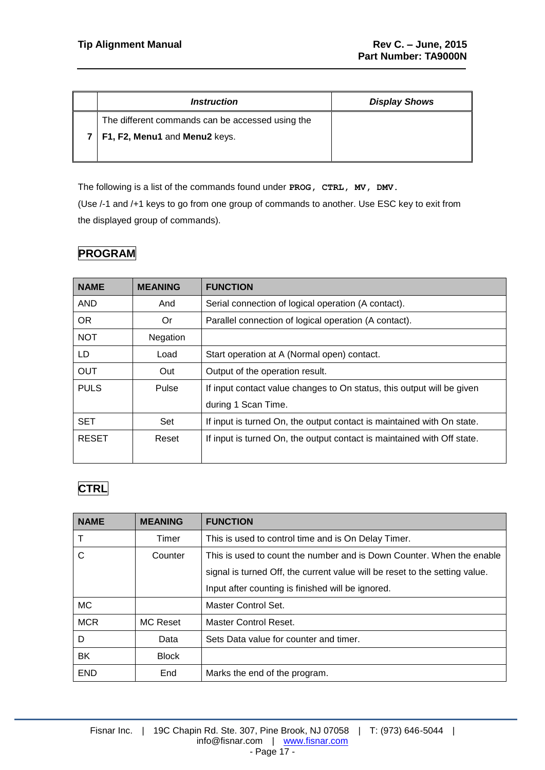| <i><u><b>Instruction</b></u></i>                 | <b>Display Shows</b> |
|--------------------------------------------------|----------------------|
| The different commands can be accessed using the |                      |
| 7   F1, F2, Menu1 and Menu2 keys.                |                      |
|                                                  |                      |

The following is a list of the commands found under **PROG, CTRL, MV, DMV.** (Use /-1 and /+1 keys to go from one group of commands to another. Use ESC key to exit from the displayed group of commands).

## **PROGRAM**

| <b>NAME</b>          | <b>MEANING</b> | <b>FUNCTION</b>                                                         |  |
|----------------------|----------------|-------------------------------------------------------------------------|--|
| <b>AND</b>           | And            | Serial connection of logical operation (A contact).                     |  |
| OR.                  | 0r             | Parallel connection of logical operation (A contact).                   |  |
| <b>NOT</b>           | Negation       |                                                                         |  |
| LD.                  | Load           | Start operation at A (Normal open) contact.                             |  |
| <b>OUT</b>           | Out            | Output of the operation result.                                         |  |
| <b>PULS</b><br>Pulse |                | If input contact value changes to On status, this output will be given  |  |
|                      |                | during 1 Scan Time.                                                     |  |
| <b>SET</b>           | Set            | If input is turned On, the output contact is maintained with On state.  |  |
| <b>RESET</b>         | Reset          | If input is turned On, the output contact is maintained with Off state. |  |
|                      |                |                                                                         |  |

# **CTRL**

| <b>NAME</b> | <b>MEANING</b>  | <b>FUNCTION</b>                                                             |  |
|-------------|-----------------|-----------------------------------------------------------------------------|--|
|             | Timer           | This is used to control time and is On Delay Timer.                         |  |
| C           | Counter         | This is used to count the number and is Down Counter. When the enable       |  |
|             |                 | signal is turned Off, the current value will be reset to the setting value. |  |
|             |                 | Input after counting is finished will be ignored.                           |  |
| <b>MC</b>   |                 | Master Control Set.                                                         |  |
| <b>MCR</b>  | <b>MC Reset</b> | Master Control Reset.                                                       |  |
| D           | Data            | Sets Data value for counter and timer.                                      |  |
| <b>BK</b>   | <b>Block</b>    |                                                                             |  |
| <b>END</b>  | End             | Marks the end of the program.                                               |  |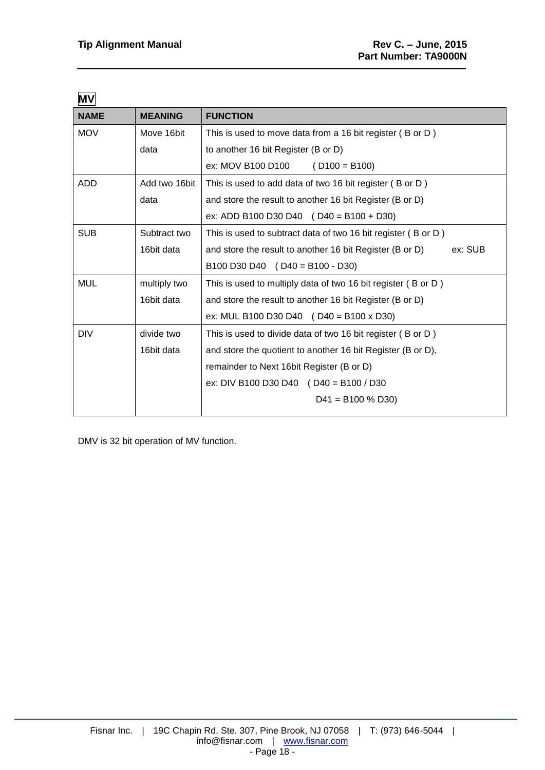| <b>MV</b>                              |                |                                                                     |  |
|----------------------------------------|----------------|---------------------------------------------------------------------|--|
| <b>NAME</b>                            | <b>MEANING</b> | <b>FUNCTION</b>                                                     |  |
| <b>MOV</b><br>Move 16bit               |                | This is used to move data from a 16 bit register (B or D)           |  |
|                                        | data           | to another 16 bit Register (B or D)                                 |  |
|                                        |                | ex: MOV B100 D100 $(D100 = B100)$                                   |  |
| <b>ADD</b>                             | Add two 16bit  | This is used to add data of two 16 bit register (B or D)            |  |
|                                        | data           | and store the result to another 16 bit Register (B or D)            |  |
|                                        |                | ex: ADD B100 D30 D40 $( D40 = B100 + D30)$                          |  |
| <b>SUB</b><br>Subtract two             |                | This is used to subtract data of two 16 bit register (B or D)       |  |
|                                        | 16bit data     | and store the result to another 16 bit Register (B or D)<br>ex: SUB |  |
|                                        |                | B100 D30 D40 $($ D40 = B100 - D30)                                  |  |
| <b>MUL</b><br>multiply two             |                | This is used to multiply data of two 16 bit register (B or D)       |  |
| 16bit data                             |                | and store the result to another 16 bit Register (B or D)            |  |
|                                        |                | ex: MUL B100 D30 D40 $($ D40 = B100 x D30)                          |  |
| <b>DIV</b><br>divide two<br>16bit data |                | This is used to divide data of two 16 bit register (B or D)         |  |
|                                        |                | and store the quotient to another 16 bit Register (B or D),         |  |
|                                        |                | remainder to Next 16bit Register (B or D)                           |  |
|                                        |                | ex: DIV B100 D30 D40 (D40 = B100 / D30                              |  |
|                                        |                | $D41 = B100 % D30$                                                  |  |
|                                        |                |                                                                     |  |

DMV is 32 bit operation of MV function.